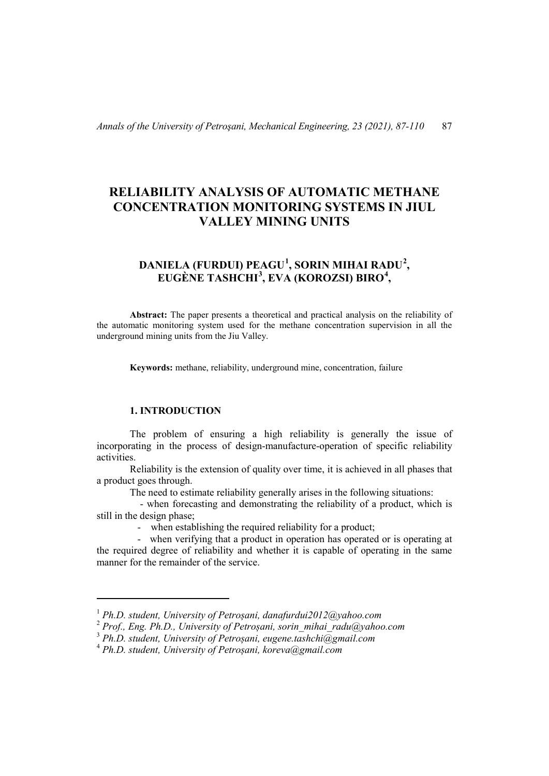# **RELIABILITY ANALYSIS OF AUTOMATIC METHANE CONCENTRATION MONITORING SYSTEMS IN JIUL VALLEY MINING UNITS**

# **DANIELA (FURDUI) PEAGU[1](#page-0-0) , SORIN MIHAI RADU[2](#page-0-1) , EUGÈNE TASHCHI[3](#page-0-2) , EVA (KOROZSI) BIRO[4](#page-0-3) ,**

**Abstract:** The paper presents a theoretical and practical analysis on the reliability of the automatic monitoring system used for the methane concentration supervision in all the underground mining units from the Jiu Valley.

**Keywords:** methane, reliability, underground mine, concentration, failure

## **1. INTRODUCTION**

l

The problem of ensuring a high reliability is generally the issue of incorporating in the process of design-manufacture-operation of specific reliability activities.

Reliability is the extension of quality over time, it is achieved in all phases that a product goes through.

The need to estimate reliability generally arises in the following situations:

 - when forecasting and demonstrating the reliability of a product, which is still in the design phase;

- when establishing the required reliability for a product;

 - when verifying that a product in operation has operated or is operating at the required degree of reliability and whether it is capable of operating in the same manner for the remainder of the service.

<sup>1</sup> *Ph.D. student, University of Petroșani, danafurdui2012@yahoo.com*

<span id="page-0-1"></span><span id="page-0-0"></span><sup>2</sup> *Prof., Eng. Ph.D., University of Petroșani, sorin\_mihai\_radu@yahoo.com*

<span id="page-0-2"></span><sup>3</sup> *Ph.D. student, University of Petroșani, eugene.tashchi@gmail.com*

<span id="page-0-3"></span><sup>4</sup> *Ph.D. student, University of Petroșani, koreva@gmail.com*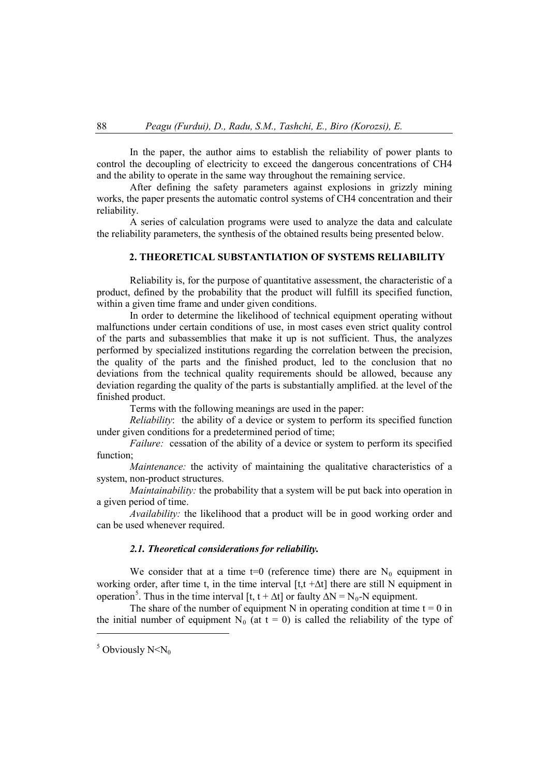In the paper, the author aims to establish the reliability of power plants to control the decoupling of electricity to exceed the dangerous concentrations of CH4 and the ability to operate in the same way throughout the remaining service.

After defining the safety parameters against explosions in grizzly mining works, the paper presents the automatic control systems of CH4 concentration and their reliability.

A series of calculation programs were used to analyze the data and calculate the reliability parameters, the synthesis of the obtained results being presented below.

# **2. THEORETICAL SUBSTANTIATION OF SYSTEMS RELIABILITY**

Reliability is, for the purpose of quantitative assessment, the characteristic of a product, defined by the probability that the product will fulfill its specified function, within a given time frame and under given conditions.

In order to determine the likelihood of technical equipment operating without malfunctions under certain conditions of use, in most cases even strict quality control of the parts and subassemblies that make it up is not sufficient. Thus, the analyzes performed by specialized institutions regarding the correlation between the precision, the quality of the parts and the finished product, led to the conclusion that no deviations from the technical quality requirements should be allowed, because any deviation regarding the quality of the parts is substantially amplified. at the level of the finished product.

Terms with the following meanings are used in the paper:

*Reliability*: the ability of a device or system to perform its specified function under given conditions for a predetermined period of time;

*Failure:* cessation of the ability of a device or system to perform its specified function;

*Maintenance:* the activity of maintaining the qualitative characteristics of a system, non-product structures.

*Maintainability:* the probability that a system will be put back into operation in a given period of time.

*Availability:* the likelihood that a product will be in good working order and can be used whenever required.

### *2.1. Theoretical considerations for reliability.*

We consider that at a time t=0 (reference time) there are  $N_0$  equipment in working order, after time t, in the time interval  $[t, t + \Delta t]$  there are still N equipment in operation<sup>[5](#page-1-0)</sup>. Thus in the time interval [t, t +  $\Delta t$ ] or faulty  $\Delta N = N_0$ -N equipment.

The share of the number of equipment N in operating condition at time  $t = 0$  in the initial number of equipment N<sub>0</sub> (at t = 0) is called the reliability of the type of

l

<span id="page-1-0"></span> $5$  Obviously N<N<sub>0</sub>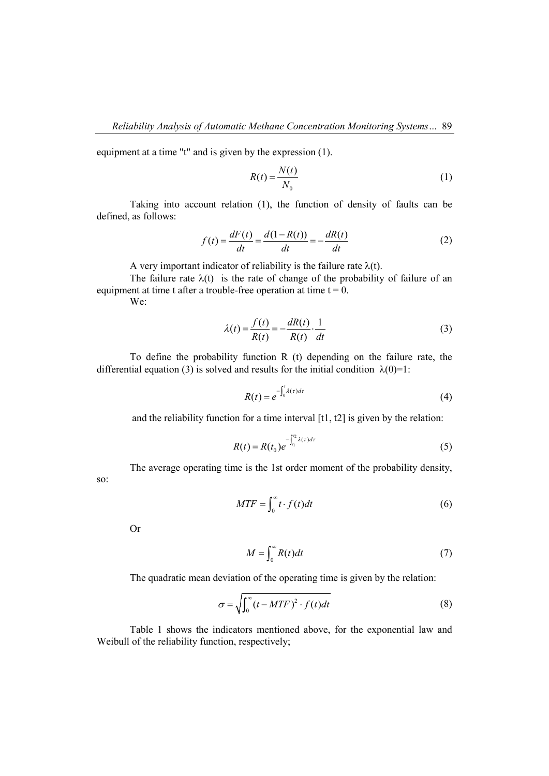equipment at a time "t" and is given by the expression (1).

$$
R(t) = \frac{N(t)}{N_0} \tag{1}
$$

Taking into account relation (1), the function of density of faults can be defined, as follows:

$$
f(t) = \frac{dF(t)}{dt} = \frac{d(1 - R(t))}{dt} = -\frac{dR(t)}{dt}
$$
 (2)

A very important indicator of reliability is the failure rate  $\lambda(t)$ .

The failure rate  $\lambda(t)$  is the rate of change of the probability of failure of an equipment at time t after a trouble-free operation at time  $t = 0$ . We:

$$
\lambda(t) = \frac{f(t)}{R(t)} = -\frac{dR(t)}{R(t)} \cdot \frac{1}{dt}
$$
\n(3)

To define the probability function R (t) depending on the failure rate, the differential equation (3) is solved and results for the initial condition  $\lambda(0)=1$ :

$$
R(t) = e^{-\int_0^t \lambda(\tau)d\tau}
$$
\n(4)

and the reliability function for a time interval  $[t1, t2]$  is given by the relation:

$$
R(t) = R(t_0)e^{-\int_{t_1}^{t_2} \lambda(\tau)d\tau}
$$
\n(5)

The average operating time is the 1st order moment of the probability density,

so:

$$
MTF = \int_0^\infty t \cdot f(t)dt
$$
 (6)

Or

$$
M = \int_0^\infty R(t)dt
$$
 (7)

The quadratic mean deviation of the operating time is given by the relation:

$$
\sigma = \sqrt{\int_0^\infty (t - MTF)^2 \cdot f(t)dt} \tag{8}
$$

Table 1 shows the indicators mentioned above, for the exponential law and Weibull of the reliability function, respectively;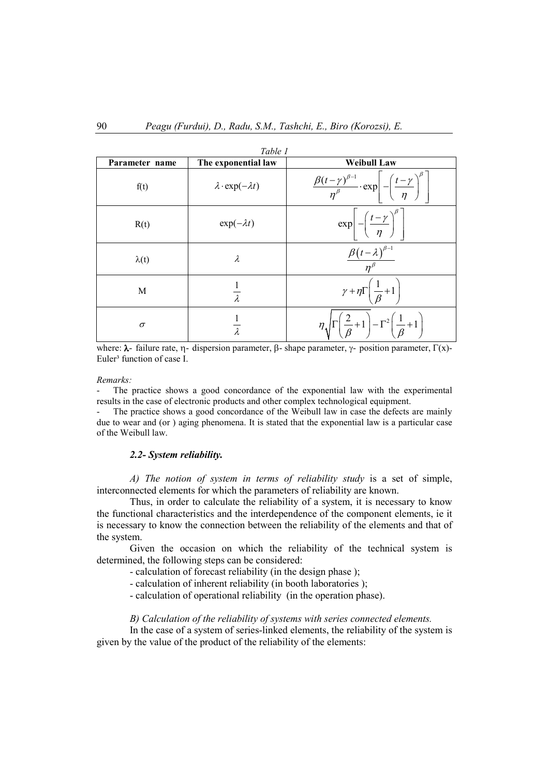|                | Table 1                        |                                                                                                                            |  |  |  |  |  |  |  |
|----------------|--------------------------------|----------------------------------------------------------------------------------------------------------------------------|--|--|--|--|--|--|--|
| Parameter name | The exponential law            | <b>Weibull Law</b>                                                                                                         |  |  |  |  |  |  |  |
| f(t)           | $\lambda$ ·exp( $-\lambda t$ ) | $\left  \frac{\beta (t-\gamma)^{\beta-1}}{\eta^{\beta}} \cdot \exp \right  - \left( \frac{t-\gamma}{\eta} \right)^{\beta}$ |  |  |  |  |  |  |  |
| R(t)           | $\exp(-\lambda t)$             | $\exp\left[-\left(\frac{t-\gamma}{\eta}\right)^{\beta}\right]$                                                             |  |  |  |  |  |  |  |
| $\lambda(t)$   | λ                              | $\frac{\beta (t-\lambda)^{\beta-1}}{n^{\beta}}$                                                                            |  |  |  |  |  |  |  |
| M              | $\lambda$                      | $\gamma + \eta \Gamma \left( \frac{1}{\beta} + 1 \right)$                                                                  |  |  |  |  |  |  |  |
| $\sigma$       |                                | $\eta \sqrt{\Gamma\left(\frac{2}{\beta}+1\right)} - \Gamma^2\left(\frac{1}{\beta}+1\right)$                                |  |  |  |  |  |  |  |

where:  $\lambda$ - failure rate, η- dispersion parameter, β- shape parameter, γ- position parameter, Γ(x)-Euler<sup>3</sup> function of case I.

*Remarks:* 

The practice shows a good concordance of the exponential law with the experimental results in the case of electronic products and other complex technological equipment.

The practice shows a good concordance of the Weibull law in case the defects are mainly due to wear and (or ) aging phenomena. It is stated that the exponential law is a particular case of the Weibull law.

### *2.2- System reliability.*

*A) The notion of system in terms of reliability study* is a set of simple, interconnected elements for which the parameters of reliability are known.

Thus, in order to calculate the reliability of a system, it is necessary to know the functional characteristics and the interdependence of the component elements, ie it is necessary to know the connection between the reliability of the elements and that of the system.

Given the occasion on which the reliability of the technical system is determined, the following steps can be considered:

- calculation of forecast reliability (in the design phase );

- calculation of inherent reliability (in booth laboratories );
- calculation of operational reliability (in the operation phase).

### *B) Calculation of the reliability of systems with series connected elements.*

In the case of a system of series-linked elements, the reliability of the system is given by the value of the product of the reliability of the elements: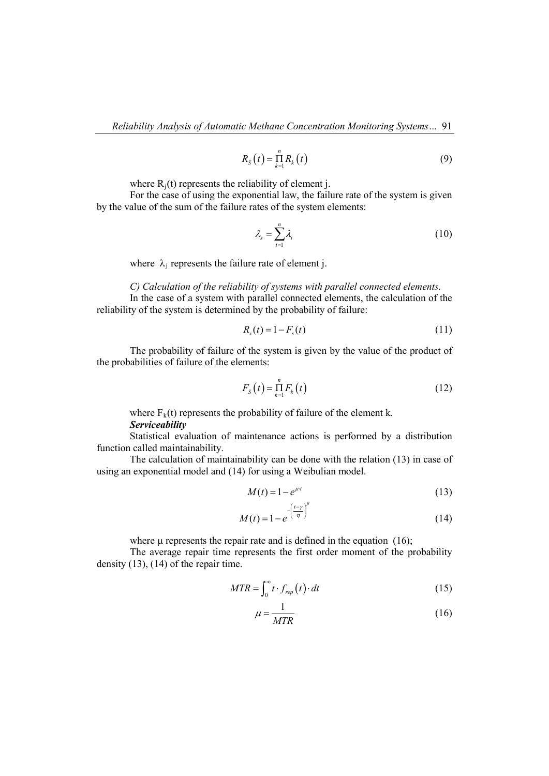$$
R_{S}(t) = \prod_{k=1}^{n} R_{k}(t)
$$
\n(9)

where  $R_i(t)$  represents the reliability of element j.

For the case of using the exponential law, the failure rate of the system is given by the value of the sum of the failure rates of the system elements:

$$
\lambda_{s} = \sum_{i=1}^{n} \lambda_{i} \tag{10}
$$

where  $\lambda_i$  represents the failure rate of element j.

*C) Calculation of the reliability of systems with parallel connected elements.*

In the case of a system with parallel connected elements, the calculation of the reliability of the system is determined by the probability of failure:

$$
R_s(t) = 1 - F_s(t)
$$
\n(11)

The probability of failure of the system is given by the value of the product of the probabilities of failure of the elements:

$$
F_{\rm S}\left(t\right) = \prod_{k=1}^n F_k\left(t\right) \tag{12}
$$

where  $F_k(t)$  represents the probability of failure of the element k. *Serviceability*

Statistical evaluation of maintenance actions is performed by a distribution function called maintainability.

The calculation of maintainability can be done with the relation (13) in case of using an exponential model and (14) for using a Weibulian model.

$$
M(t) = 1 - e^{\mu t} \tag{13}
$$

$$
M(t) = 1 - e^{-\left(\frac{t - \gamma}{\eta}\right)^{\beta}}
$$
\n(14)

where  $\mu$  represents the repair rate and is defined in the equation (16);

The average repair time represents the first order moment of the probability density (13), (14) of the repair time.

$$
MTR = \int_0^\infty t \cdot f_{rep}(t) \cdot dt \tag{15}
$$

$$
\mu = \frac{1}{MTR} \tag{16}
$$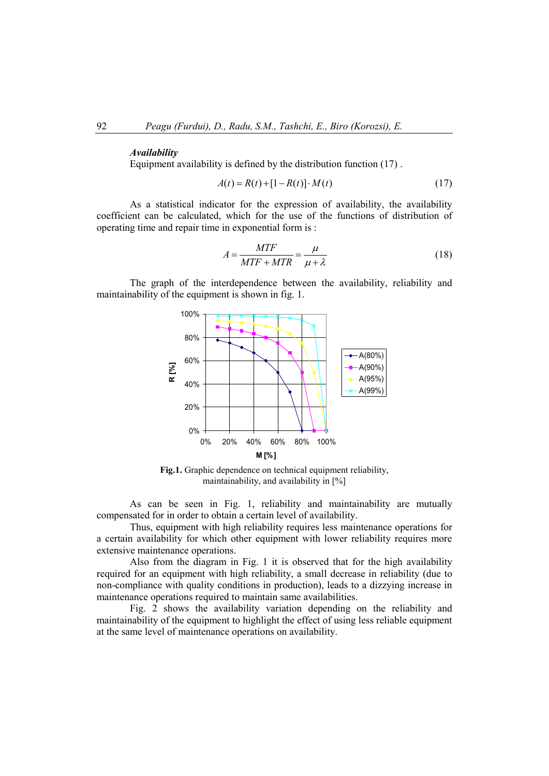#### *Availability*

Equipment availability is defined by the distribution function (17) .

$$
A(t) = R(t) + [1 - R(t)] \cdot M(t)
$$
\n(17)

As a statistical indicator for the expression of availability, the availability coefficient can be calculated, which for the use of the functions of distribution of operating time and repair time in exponential form is :

$$
A = \frac{MTF}{MTF + MTR} = \frac{\mu}{\mu + \lambda}
$$
(18)

The graph of the interdependence between the availability, reliability and maintainability of the equipment is shown in fig. 1.



**Fig.1.** Graphic dependence on technical equipment reliability, maintainability, and availability in [%]

As can be seen in Fig. 1, reliability and maintainability are mutually compensated for in order to obtain a certain level of availability.

Thus, equipment with high reliability requires less maintenance operations for a certain availability for which other equipment with lower reliability requires more extensive maintenance operations.

Also from the diagram in Fig. 1 it is observed that for the high availability required for an equipment with high reliability, a small decrease in reliability (due to non-compliance with quality conditions in production), leads to a dizzying increase in maintenance operations required to maintain same availabilities.

Fig. 2 shows the availability variation depending on the reliability and maintainability of the equipment to highlight the effect of using less reliable equipment at the same level of maintenance operations on availability.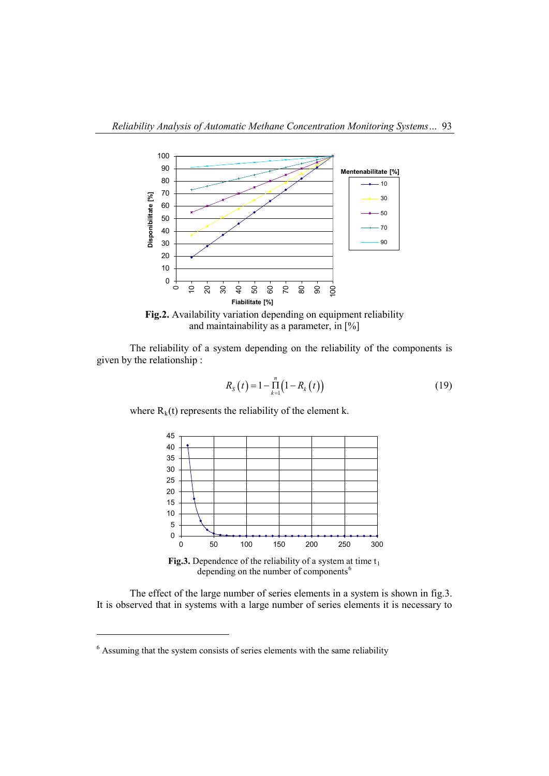

**Fig.2.** Availability variation depending on equipment reliability and maintainability as a parameter, in [%]

The reliability of a system depending on the reliability of the components is given by the relationship :

$$
R_{S}(t) = 1 - \prod_{k=1}^{n} (1 - R_{k}(t))
$$
\n(19)

where  $R_k(t)$  represents the reliability of the element k.



**Fig.3.** Dependence of the reliability of a system at time  $t_1$ depending on the number of components<sup>[6](#page-6-0)</sup>

The effect of the large number of series elements in a system is shown in fig.3. It is observed that in systems with a large number of series elements it is necessary to

 $\overline{a}$ 

<span id="page-6-0"></span>Assuming that the system consists of series elements with the same reliability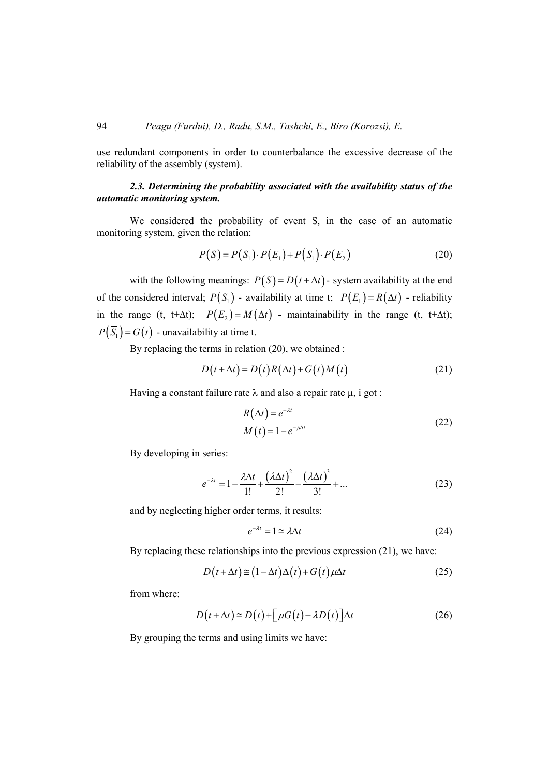use redundant components in order to counterbalance the excessive decrease of the reliability of the assembly (system).

# *2.3. Determining the probability associated with the availability status of the automatic monitoring system.*

We considered the probability of event S, in the case of an automatic monitoring system, given the relation:

$$
P(S) = P(S_1) \cdot P(E_1) + P(\overline{S}_1) \cdot P(E_2)
$$
\n(20)

with the following meanings:  $P(S) = D(t + \Delta t)$ - system availability at the end of the considered interval;  $P(S_1)$  - availability at time t;  $P(E_1) = R(\Delta t)$  - reliability in the range (t, t+∆t);  $P(E_2) = M(\Delta t)$  - maintainability in the range (t, t+∆t);  $P(\overline{S}_1) = G(t)$  - unavailability at time t.

By replacing the terms in relation (20), we obtained :

$$
D(t + \Delta t) = D(t)R(\Delta t) + G(t)M(t)
$$
\n(21)

Having a constant failure rate  $\lambda$  and also a repair rate  $\mu$ , i got :

$$
R(\Delta t) = e^{-\lambda t}
$$
  
\n
$$
M(t) = 1 - e^{-\mu \Delta t}
$$
\n(22)

By developing in series:

$$
e^{-\lambda t} = 1 - \frac{\lambda \Delta t}{1!} + \frac{(\lambda \Delta t)^2}{2!} - \frac{(\lambda \Delta t)^3}{3!} + \dots
$$
 (23)

and by neglecting higher order terms, it results:

$$
e^{-\lambda t} = 1 \cong \lambda \Delta t \tag{24}
$$

By replacing these relationships into the previous expression (21), we have:

$$
D(t + \Delta t) \approx (1 - \Delta t) \Delta(t) + G(t) \mu \Delta t \tag{25}
$$

from where:

$$
D(t + \Delta t) \approx D(t) + \left[\mu G(t) - \lambda D(t)\right] \Delta t \tag{26}
$$

By grouping the terms and using limits we have: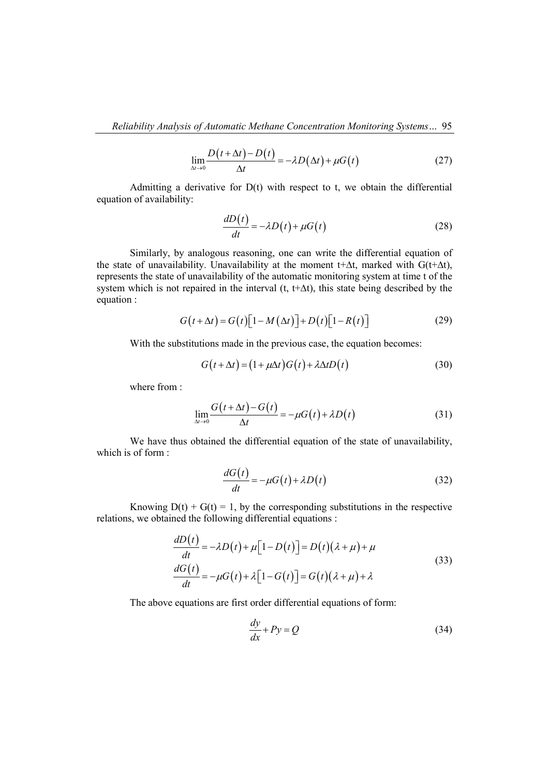$$
\lim_{\Delta t \to 0} \frac{D(t + \Delta t) - D(t)}{\Delta t} = -\lambda D(\Delta t) + \mu G(t)
$$
\n(27)

Admitting a derivative for  $D(t)$  with respect to t, we obtain the differential equation of availability:

$$
\frac{dD(t)}{dt} = -\lambda D(t) + \mu G(t)
$$
\n(28)

Similarly, by analogous reasoning, one can write the differential equation of the state of unavailability. Unavailability at the moment t+∆t, marked with G(t+∆t), represents the state of unavailability of the automatic monitoring system at time t of the system which is not repaired in the interval (t, t+ $\Delta t$ ), this state being described by the equation :

$$
G(t + \Delta t) = G(t)[1 - M(\Delta t)] + D(t)[1 - R(t)] \tag{29}
$$

With the substitutions made in the previous case, the equation becomes:

$$
G(t + \Delta t) = (1 + \mu \Delta t)G(t) + \lambda \Delta t D(t)
$$
\n(30)

where from :

$$
\lim_{\Delta t \to 0} \frac{G(t + \Delta t) - G(t)}{\Delta t} = -\mu G(t) + \lambda D(t)
$$
\n(31)

We have thus obtained the differential equation of the state of unavailability, which is of form :

$$
\frac{dG(t)}{dt} = -\mu G(t) + \lambda D(t)
$$
\n(32)

Knowing  $D(t) + G(t) = 1$ , by the corresponding substitutions in the respective relations, we obtained the following differential equations :

$$
\frac{dD(t)}{dt} = -\lambda D(t) + \mu [1 - D(t)] = D(t)(\lambda + \mu) + \mu
$$
  

$$
\frac{dG(t)}{dt} = -\mu G(t) + \lambda [1 - G(t)] = G(t)(\lambda + \mu) + \lambda
$$
\n(33)

The above equations are first order differential equations of form:

$$
\frac{dy}{dx} + Py = Q \tag{34}
$$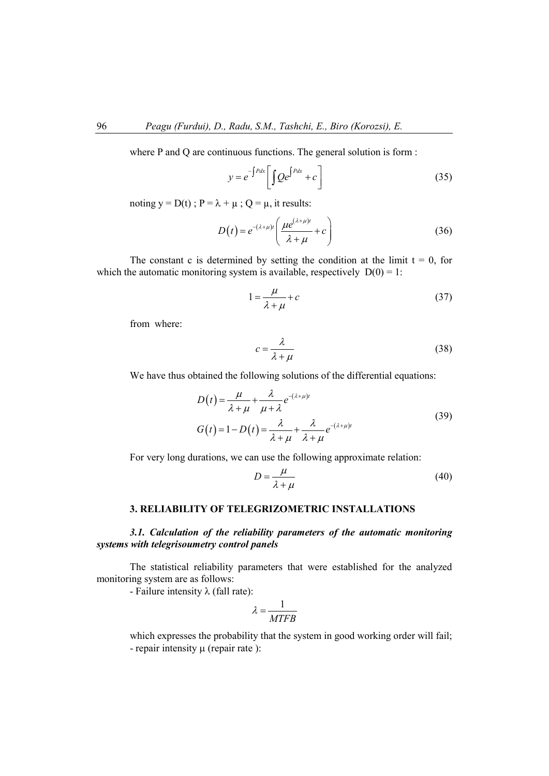where P and Q are continuous functions. The general solution is form :

$$
y = e^{-\int P dx} \left[ \int Q e^{\int P dx} + c \right]
$$
 (35)

noting  $y = D(t)$ ;  $P = \lambda + \mu$ ;  $Q = \mu$ , it results:

$$
D(t) = e^{-(\lambda+\mu)t} \left( \frac{\mu e^{(\lambda+\mu)t}}{\lambda+\mu} + c \right)
$$
 (36)

The constant c is determined by setting the condition at the limit  $t = 0$ , for which the automatic monitoring system is available, respectively  $D(0) = 1$ :

$$
1 = \frac{\mu}{\lambda + \mu} + c \tag{37}
$$

from where:

$$
c = \frac{\lambda}{\lambda + \mu} \tag{38}
$$

We have thus obtained the following solutions of the differential equations:

$$
D(t) = \frac{\mu}{\lambda + \mu} + \frac{\lambda}{\mu + \lambda} e^{-(\lambda + \mu)t}
$$
  
\n
$$
G(t) = 1 - D(t) = \frac{\lambda}{\lambda + \mu} + \frac{\lambda}{\lambda + \mu} e^{-(\lambda + \mu)t}
$$
\n(39)

For very long durations, we can use the following approximate relation:

$$
D = \frac{\mu}{\lambda + \mu} \tag{40}
$$

### **3. RELIABILITY OF TELEGRIZOMETRIC INSTALLATIONS**

# *3.1. Calculation of the reliability parameters of the automatic monitoring systems with telegrisoumetry control panels*

The statistical reliability parameters that were established for the analyzed monitoring system are as follows:

- Failure intensity  $\lambda$  (fall rate):

$$
\lambda = \frac{1}{MTFB}
$$

which expresses the probability that the system in good working order will fail; - repair intensity  $\mu$  (repair rate):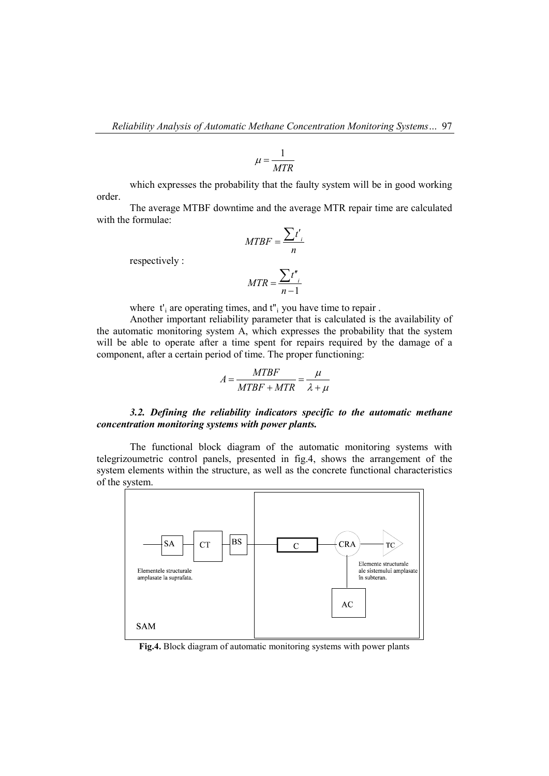$$
\mu = \frac{1}{MTR}
$$

which expresses the probability that the faulty system will be in good working order.

The average MTBF downtime and the average MTR repair time are calculated with the formulae:

$$
MTBF = \frac{\sum t_i'}{n}
$$

respectively :

$$
MTR = \frac{\sum t^{n}}{n-1}
$$

where  $t_i$  are operating times, and  $t_i$  you have time to repair.

Another important reliability parameter that is calculated is the availability of the automatic monitoring system A, which expresses the probability that the system will be able to operate after a time spent for repairs required by the damage of a component, after a certain period of time. The proper functioning:

$$
A = \frac{MTBF}{MTBF + MTR} = \frac{\mu}{\lambda + \mu}
$$

## *3.2. Defining the reliability indicators specific to the automatic methane concentration monitoring systems with power plants.*

The functional block diagram of the automatic monitoring systems with telegrizoumetric control panels, presented in fig.4, shows the arrangement of the system elements within the structure, as well as the concrete functional characteristics of the system.



**Fig.4.** Block diagram of automatic monitoring systems with power plants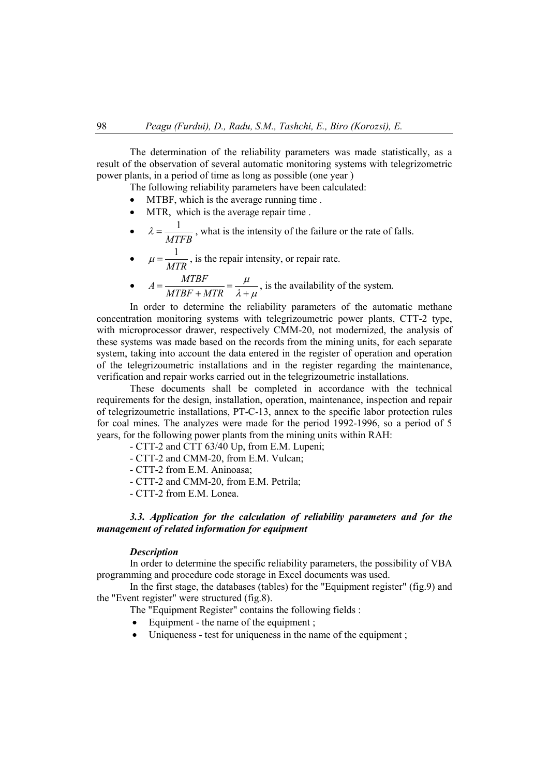The determination of the reliability parameters was made statistically, as a result of the observation of several automatic monitoring systems with telegrizometric power plants, in a period of time as long as possible (one year )

The following reliability parameters have been calculated:

- MTBF, which is the average running time.
- MTR, which is the average repair time.
- $\lambda = \frac{1}{\sqrt{1 \frac{1}{\lambda}}$ *MTFB*  $\lambda = \frac{1}{\lambda}$ , what is the intensity of the failure or the rate of falls.
- $\mu = \frac{1}{MTR}$ , is the repair intensity, or repair rate.
- $A = \frac{MTBF}{\sqrt{TPF}}$  $MTBF + MTR$  $=\frac{MIBF}{MTBF+MTR}=\frac{\mu}{\lambda+\mu}$ , is the availability of the system.

In order to determine the reliability parameters of the automatic methane concentration monitoring systems with telegrizoumetric power plants, CTT-2 type, with microprocessor drawer, respectively CMM-20, not modernized, the analysis of these systems was made based on the records from the mining units, for each separate system, taking into account the data entered in the register of operation and operation of the telegrizoumetric installations and in the register regarding the maintenance, verification and repair works carried out in the telegrizoumetric installations.

These documents shall be completed in accordance with the technical requirements for the design, installation, operation, maintenance, inspection and repair of telegrizoumetric installations, PT-C-13, annex to the specific labor protection rules for coal mines. The analyzes were made for the period 1992-1996, so a period of 5 years, for the following power plants from the mining units within RAH:

- CTT-2 and CTT 63/40 Up, from E.M. Lupeni;
- CTT-2 and CMM-20, from E.M. Vulcan;
- CTT-2 from E.M. Aninoasa;
- CTT-2 and CMM-20, from E.M. Petrila;
- CTT-2 from E.M. Lonea.

### *3.3. Application for the calculation of reliability parameters and for the management of related information for equipment*

#### *Description*

In order to determine the specific reliability parameters, the possibility of VBA programming and procedure code storage in Excel documents was used.

In the first stage, the databases (tables) for the "Equipment register" (fig.9) and the "Event register" were structured (fig.8).

- The "Equipment Register" contains the following fields :
- Equipment the name of the equipment ;
- Uniqueness test for uniqueness in the name of the equipment ;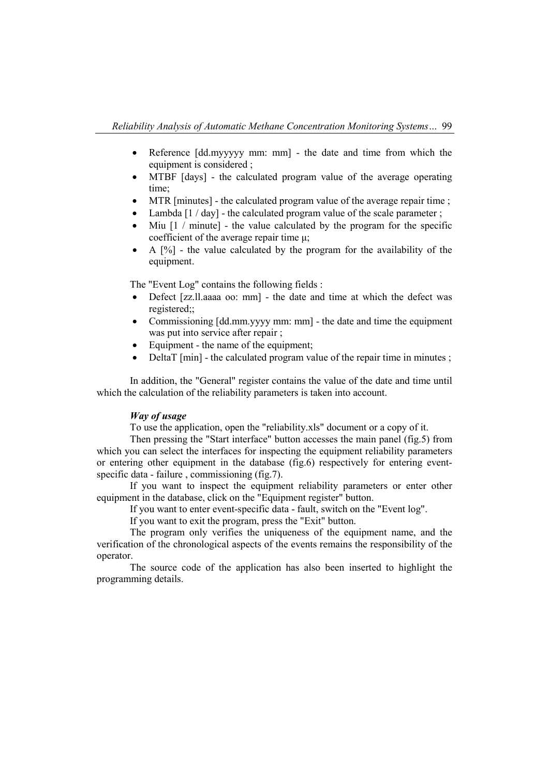- Reference [dd.myyyyy mm: mm] the date and time from which the equipment is considered ;
- MTBF [days] the calculated program value of the average operating time;
- MTR [minutes] the calculated program value of the average repair time;
- Lambda [1 / day] the calculated program value of the scale parameter ;
- Miu  $[1 / \text{minute}]$  the value calculated by the program for the specific coefficient of the average repair time μ;
- A [%] the value calculated by the program for the availability of the equipment.

The "Event Log" contains the following fields :

- Defect [zz.ll.aaaa oo: mm] the date and time at which the defect was registered;;
- Commissioning [dd.mm.yyyy mm: mm] the date and time the equipment was put into service after repair ;
- Equipment the name of the equipment;
- DeltaT [min] the calculated program value of the repair time in minutes;

In addition, the "General" register contains the value of the date and time until which the calculation of the reliability parameters is taken into account.

### *Way of usage*

To use the application, open the "reliability.xls" document or a copy of it.

Then pressing the "Start interface" button accesses the main panel (fig.5) from which you can select the interfaces for inspecting the equipment reliability parameters or entering other equipment in the database (fig.6) respectively for entering eventspecific data - failure , commissioning (fig.7).

If you want to inspect the equipment reliability parameters or enter other equipment in the database, click on the "Equipment register" button.

If you want to enter event-specific data - fault, switch on the "Event log".

If you want to exit the program, press the "Exit" button.

The program only verifies the uniqueness of the equipment name, and the verification of the chronological aspects of the events remains the responsibility of the operator.

The source code of the application has also been inserted to highlight the programming details.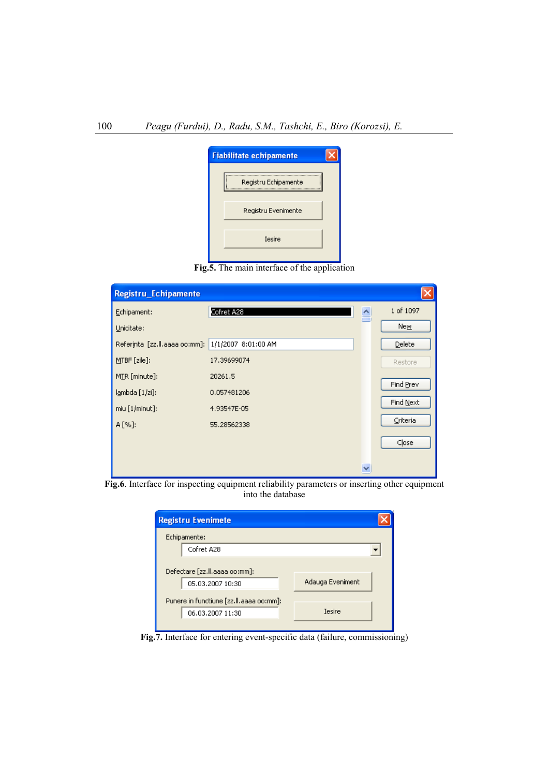

**Fig.5.** The main interface of the application

| Registru_Echipamente          |                     |   |           |
|-------------------------------|---------------------|---|-----------|
| Echipament:                   | Cofret A28          | 슬 | 1 of 1097 |
| Unicitate:                    |                     |   | New       |
| Referinta [zz.ll.aaaa oo:mm]: | 1/1/2007 8:01:00 AM |   | Delete    |
| MTBF [zile]:                  | 17.39699074         |   | Restore   |
| MIR [minute]:                 | 20261.5             |   | Find Prev |
| lambda [1/zi]:                | 0.057481206         |   |           |
| $miu$ [1/minut]:              | 4.93547E-05         |   | Find Next |
| A [%]:                        | 55,28562338         |   | Criteria  |
|                               |                     |   | Close     |
|                               |                     |   |           |
|                               |                     | v |           |

**Fig.6**. Interface for inspecting equipment reliability parameters or inserting other equipment into the database

| <b>Registru Evenimete</b>               |                  |  |
|-----------------------------------------|------------------|--|
| Echipamente:                            |                  |  |
| Cofret A28                              |                  |  |
|                                         |                  |  |
| Defectare [zz.ll.aaaa oo:mm]:           |                  |  |
| 05.03.2007 10:30                        | Adauga Eveniment |  |
| Punere in functiune [zz.ll.aaaa oo:mm]: |                  |  |
| 06.03.2007 11:30                        | <b>Tesire</b>    |  |
|                                         |                  |  |

**Fig.7.** Interface for entering event-specific data (failure, commissioning)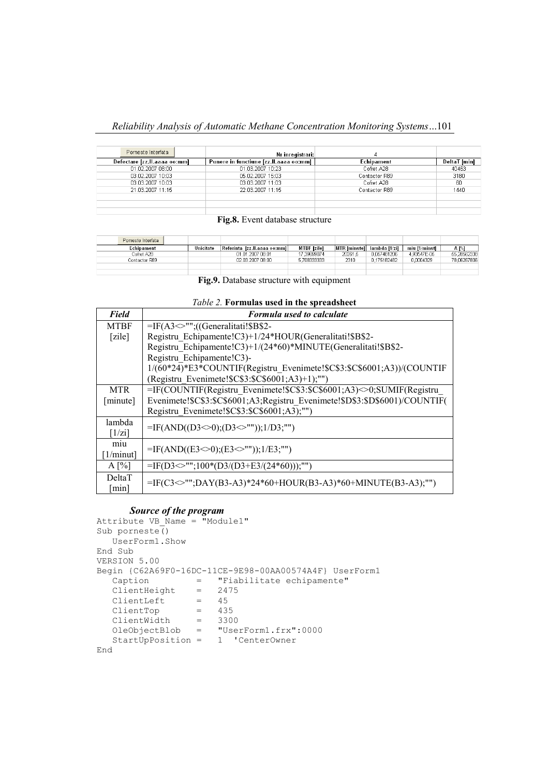## *Reliability Analysis of Automatic Methane Concentration Monitoring Systems…*101

| Porneste Interfata           | Nr inregistrari:                       |               |              |
|------------------------------|----------------------------------------|---------------|--------------|
| Defectare [zz.ll.aaaa oo:mm] | Punere in functiune [zz.ll.aaaa oo:mm] | Echipament    | DeltaT [min] |
| 01.02.2007.08:00             | 01.03.2007 10:23                       | Cofret A28    | 40463        |
| 03.02.2007 10:03             | 05.02.2007 15:03                       | Contactor R89 | 3180         |
| 03.03.2007 10:03             | 03.03.2007 11:03                       | Cofret A28    | -60          |
| 21.03.2007 11:15             | 22.03.2007 11:15                       | Contactor R89 | 1440         |
|                              |                                        |               |              |
|                              |                                        |               |              |
|                              |                                        |               |              |

#### **Fig.8.** Event database structure

| Porneste Interfata |           |                              |                    |                     |               |               |             |
|--------------------|-----------|------------------------------|--------------------|---------------------|---------------|---------------|-------------|
| Fchinament         | Unicitate | Referinta_Izz.II.aaaa_oo:mml | <b>MTBF</b> Izilel | <b>MTR</b> Iminutel | lambda [1/zi] | miu f1/minuti | $A^{96}$    |
| Cofret A28         |           | 01.01.2007 08:01             | 17.39699074        | 20261.5             | 0.057481206   | 4.93547E-05   | 55.28562338 |
| Contactor R89      |           | 02.03.2007.08:00             | 5.708333333        | 2310                | 0.175182482   | 0.0004329     | 78.06267806 |
|                    |           |                              |                    |                     |               |               |             |
|                    |           |                              |                    |                     |               |               |             |

**Fig.9.** Database structure with equipment

#### *Table 2.* **Formulas used in the spreadsheet**

| <b>Field</b>         | Formula used to calculate                                                   |
|----------------------|-----------------------------------------------------------------------------|
| <b>MTBF</b>          | $=$ IF(A3 $\sim$ "";((Generalitati!\$B\$2-                                  |
| [zile]               | Registru Echipamente!C3)+1/24*HOUR(Generalitati!\$B\$2-                     |
|                      | Registru Echipamente!C3)+1/(24*60)*MINUTE(Generalitati!\$B\$2-              |
|                      | Registru Echipamente!C3)-                                                   |
|                      | 1/(60*24)*E3*COUNTIF(Registru Evenimete!\$C\$3:\$C\$6001;A3))/(COUNTIF      |
|                      | (Registru Evenimete!\$C\$3:\$C\$6001;A3)+1);"")                             |
| <b>MTR</b>           | =IF(COUNTIF(Registru Evenimete!\$C\$3:\$C\$6001;A3)<>0;SUMIF(Registru       |
| [minute]             | Evenimete!\$C\$3:\$C\$6001;A3;Registru Evenimete!\$D\$3:\$D\$6001)/COUNTIF( |
|                      | Registru Evenimete!\$C\$3:\$C\$6001;A3);"")                                 |
| lambda               | $=$ IF(AND((D3 $\le$ 0);(D3 $\le$ ""));1/D3;"")                             |
| [1/zi]               |                                                                             |
| miu                  | $=$ IF(AND((E3 $\le$ 0);(E3 $\le$ ""));1/E3;"")                             |
| $[1/m$ inut]         |                                                                             |
| $A[\%]$              | $=$ IF(D3 $\leq$ "";100*(D3/(D3+E3/(24*60)));"")                            |
| DeltaT               | $=$ IF(C3 $\leq$ "";DAY(B3-A3)*24*60+HOUR(B3-A3)*60+MINUTE(B3-A3);"")       |
| $\lceil \min \rceil$ |                                                                             |

### *Source of the program*

```
Attribute VB Name = "Module1"
Sub porneste()
   UserForm1.Show
End Sub
VERSION 5.00
Begin {C62A69F0-16DC-11CE-9E98-00AA00574A4F} UserForm1 
   Caption = "Fiabilitate echipamente"
  ClientHeight = 2475<br>ClientLeft = 45
  clientLeft = 45<br>ClientTop = 435
 ClientTop = 435
 ClientWidth = 3300
 OleObjectBlob = "UserForm1.frx":0000
    StartUpPosition = 1 'CenterOwner
End
```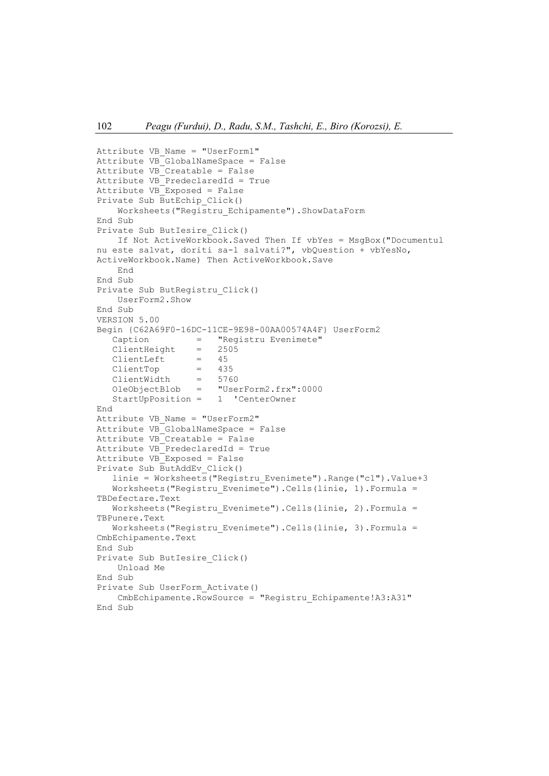```
Attribute VB_Name = "UserForm1"
Attribute VB_GlobalNameSpace = False
Attribute VB Creatable = False
Attribute VB_PredeclaredId = True
Attribute VB_Exposed = False
Private Sub ButEchip_Click()
     Worksheets("Registru_Echipamente").ShowDataForm
End Sub
Private Sub ButIesire_Click()
     If Not ActiveWorkbook.Saved Then If vbYes = MsgBox("Documentul 
nu este salvat, doriti sa-l salvati?", vbQuestion + vbYesNo, 
ActiveWorkbook.Name) Then ActiveWorkbook.Save
     End
End Sub
Private Sub ButRegistru_Click()
     UserForm2.Show
End Sub
VERSION 5.00
Begin {C62A69F0-16DC-11CE-9E98-00AA00574A4F} UserForm2<br>Caption = "Registry Evenimete"
                  = "Registru Evenimete"<br>= 2505
   ClientHeight = 25<br>ClientLeft = 45
   ClientLeft = 45<br>ClientTop = 435
   ClientTop = 435<br>ClientWidth = 5760
   ClientWidth =<br>OleObjectBlob =
                        "UserForm2.frx":0000<br>1 'CenterOwner
   StartUpPosition =End
Attribute VB_Name = "UserForm2"
Attribute VB_GlobalNameSpace = False
Attribute VB Creatable = False
Attribute VB PredeclaredId = True
Attribute VB_Exposed = False
Private Sub ButAddEv_Click()
   linie = Worksheets("Registru Evenimete").Range("c1").Value+3
    Worksheets("Registru_Evenimete").Cells(linie, 1).Formula = 
TBDefectare.Text
    Worksheets("Registru_Evenimete").Cells(linie, 2).Formula = 
TBPunere.Text
   Worksheets("Registru Evenimete").Cells(linie, 3).Formula =
CmbEchipamente.Text
End Sub
Private Sub ButIesire_Click()
     Unload Me
End Sub
Private Sub UserForm_Activate()
     CmbEchipamente.RowSource = "Registru_Echipamente!A3:A31"
End Sub
```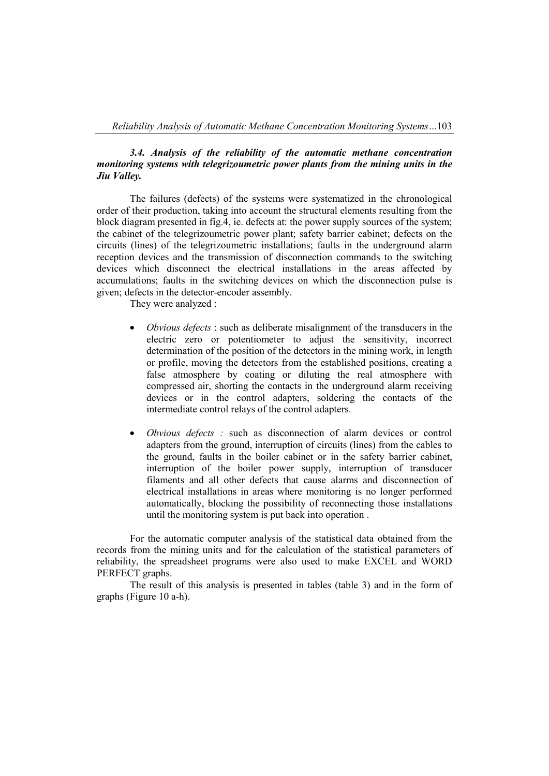# *3.4. Analysis of the reliability of the automatic methane concentration monitoring systems with telegrizoumetric power plants from the mining units in the Jiu Valley.*

The failures (defects) of the systems were systematized in the chronological order of their production, taking into account the structural elements resulting from the block diagram presented in fig.4, ie. defects at: the power supply sources of the system; the cabinet of the telegrizoumetric power plant; safety barrier cabinet; defects on the circuits (lines) of the telegrizoumetric installations; faults in the underground alarm reception devices and the transmission of disconnection commands to the switching devices which disconnect the electrical installations in the areas affected by accumulations; faults in the switching devices on which the disconnection pulse is given; defects in the detector-encoder assembly.

They were analyzed :

- *Obvious defects* : such as deliberate misalignment of the transducers in the electric zero or potentiometer to adjust the sensitivity, incorrect determination of the position of the detectors in the mining work, in length or profile, moving the detectors from the established positions, creating a false atmosphere by coating or diluting the real atmosphere with compressed air, shorting the contacts in the underground alarm receiving devices or in the control adapters, soldering the contacts of the intermediate control relays of the control adapters.
- *Obvious defects :* such as disconnection of alarm devices or control adapters from the ground, interruption of circuits (lines) from the cables to the ground, faults in the boiler cabinet or in the safety barrier cabinet, interruption of the boiler power supply, interruption of transducer filaments and all other defects that cause alarms and disconnection of electrical installations in areas where monitoring is no longer performed automatically, blocking the possibility of reconnecting those installations until the monitoring system is put back into operation .

For the automatic computer analysis of the statistical data obtained from the records from the mining units and for the calculation of the statistical parameters of reliability, the spreadsheet programs were also used to make EXCEL and WORD PERFECT graphs.

The result of this analysis is presented in tables (table 3) and in the form of graphs (Figure 10 a-h).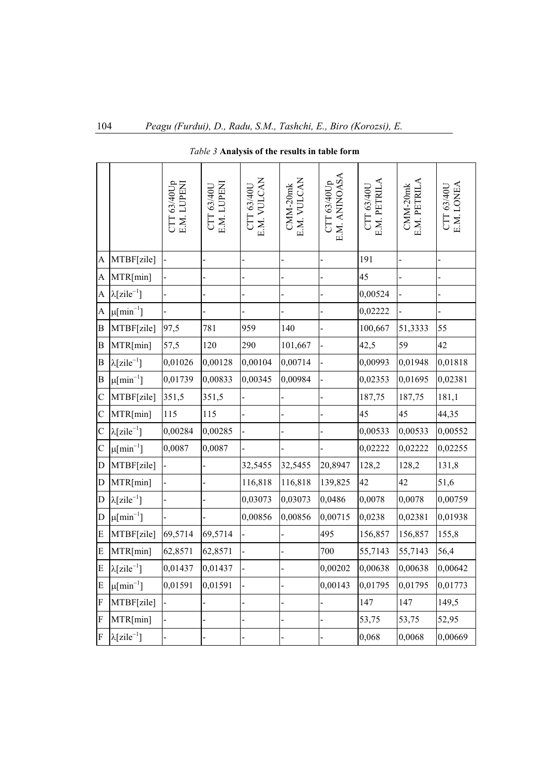|                         |                                 | CTT 63/40Up<br>E.M. LUPEN | E.M. LUPENI<br>CTT 63/40U | E.M. VULCAN<br>CTT 63/40U | E.M. VULCAN<br>$CMM-20mk$ | E.M. ANINOASA<br>CTT 63/40Up | E.M. PETRILA<br>CTT 63/40U | E.M. PETRILA<br>CMM-20mk | E.M. LONEA<br>CTT 63/40U |
|-------------------------|---------------------------------|---------------------------|---------------------------|---------------------------|---------------------------|------------------------------|----------------------------|--------------------------|--------------------------|
| A                       | MTBF[zile]                      |                           |                           |                           |                           |                              | 191                        |                          |                          |
| $\overline{A}$          | MTR[min]                        |                           |                           |                           |                           |                              | 45                         |                          |                          |
| A                       | $\lambda$ [zile <sup>-1</sup> ] |                           |                           |                           |                           |                              | 0,00524                    |                          |                          |
| A                       | $\mu$ [min <sup>-1</sup> ]      |                           |                           |                           |                           |                              | 0,02222                    |                          |                          |
| B                       | MTBF[zile]                      | 97,5                      | 781                       | 959                       | 140                       |                              | 100,667                    | 51,3333                  | 55                       |
| B                       | MTR[min]                        | 57,5                      | 120                       | 290                       | 101,667                   |                              | 42,5                       | 59                       | 42                       |
| B                       | $\lambda$ [zile <sup>-1</sup> ] | 0,01026                   | 0,00128                   | 0,00104                   | 0,00714                   |                              | 0,00993                    | 0,01948                  | 0,01818                  |
| $\boldsymbol{B}$        | $\mu$ [min <sup>-1</sup> ]      | 0,01739                   | 0,00833                   | 0,00345                   | 0,00984                   |                              | 0,02353                    | 0,01695                  | 0,02381                  |
| $\mathbf C$             | MTBF[zile]                      | 351,5                     | 351,5                     |                           |                           |                              | 187,75                     | 187,75                   | 181,1                    |
| $\mathbf C$             | MTR[min]                        | 115                       | 115                       |                           |                           |                              | 45                         | 45                       | 44,35                    |
| $\mathbf C$             | $\lambda$ [zile <sup>-1</sup> ] | 0,00284                   | 0,00285                   |                           |                           |                              | 0,00533                    | 0,00533                  | 0,00552                  |
| $\mathbf C$             | $\mu$ [min <sup>-1</sup> ]      | 0,0087                    | 0,0087                    |                           |                           |                              | 0,02222                    | 0,02222                  | 0,02255                  |
| D                       | MTBF[zile]                      |                           |                           | 32,5455                   | 32,5455                   | 20,8947                      | 128,2                      | 128,2                    | 131,8                    |
| D                       | MTR[min]                        |                           |                           | 116,818                   | 116,818                   | 139,825                      | 42                         | 42                       | 51,6                     |
| D                       | $\lambda$ [zile <sup>-1</sup> ] |                           |                           | 0,03073                   | 0,03073                   | 0,0486                       | 0,0078                     | 0,0078                   | 0,00759                  |
| D                       | $\mu$ [min <sup>-1</sup> ]      |                           |                           | 0,00856                   | 0,00856                   | 0,00715                      | 0,0238                     | 0,02381                  | 0,01938                  |
| E                       | MTBF[zile]                      | 69,5714                   | 69,5714                   |                           |                           | 495                          | 156,857                    | 156,857                  | 155,8                    |
| E                       | MTR[min]                        | 62,8571                   | 62,8571                   |                           |                           | 700                          | 55,7143                    | 55,7143                  | 56,4                     |
| E                       | $\lambda$ [zile <sup>-1</sup> ] | 0,01437                   | 0,01437                   |                           |                           | 0,00202                      | 0,00638                    | 0,00638                  | 0,00642                  |
| E                       | $\mu$ [min <sup>-1</sup> ]      | 0,01591                   | 0,01591                   |                           |                           | 0,00143                      | 0,01795                    | 0,01795                  | 0,01773                  |
| ${\bf F}$               | MTBF[zile]                      |                           |                           |                           |                           |                              | 147                        | 147                      | 149,5                    |
| F                       | MTR[min]                        |                           |                           |                           |                           |                              | 53,75                      | 53,75                    | 52,95                    |
| $\overline{\mathrm{F}}$ | $\lambda$ [zile <sup>-1</sup> ] |                           |                           |                           |                           |                              | 0,068                      | 0,0068                   | 0,00669                  |

# *Table 3* **Analysis of the results in table form**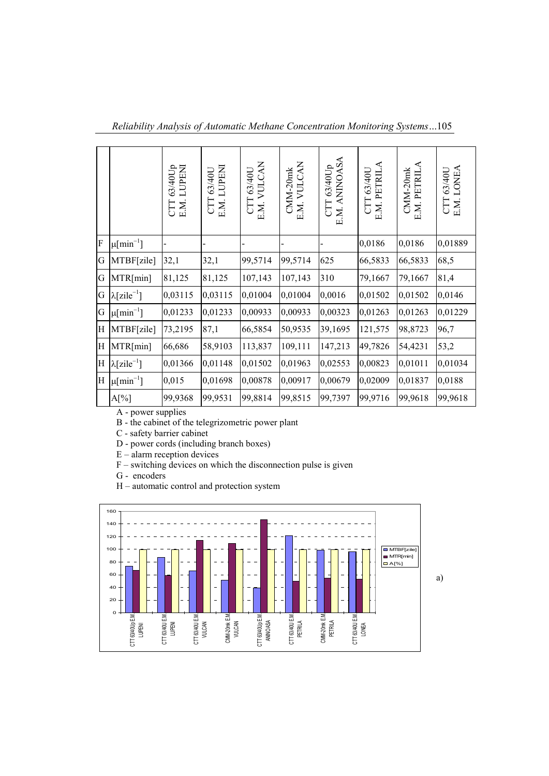*Reliability Analysis of Automatic Methane Concentration Monitoring Systems…*105

|           |                                 | CTT 63/40Up<br>E.M. LUPENI | E.M. LUPENI<br>63/40U<br>E | E.M. VULCAN<br>CTT 63/40U | E.M. VULCAN<br>CMM-20mk | CTT 63/40Up<br>E.M. ANINOASA | E.M. PETRILA<br>63/40U<br>CTT | CMM-20mk<br>E.M. PETRILA | CTT 63/40U<br>E.M. LONEA |
|-----------|---------------------------------|----------------------------|----------------------------|---------------------------|-------------------------|------------------------------|-------------------------------|--------------------------|--------------------------|
| ${\bf F}$ | $\mu$ [min <sup>-1</sup> ]      |                            |                            |                           |                         |                              | 0,0186                        | 0,0186                   | 0,01889                  |
| G         | MTBF[zile]                      | 32,1                       | 32,1                       | 99,5714                   | 99,5714                 | 625                          | 66,5833                       | 66,5833                  | 68,5                     |
| G         | MTR[min]                        | 81,125                     | 81,125                     | 107,143                   | 107,143                 | 310                          | 79,1667                       | 79,1667                  | 81,4                     |
| G         | $\lambda$ [zile <sup>-1</sup> ] | 0,03115                    | 0,03115                    | 0,01004                   | 0,01004                 | 0,0016                       | 0,01502                       | 0,01502                  | 0,0146                   |
| G         | $\mu$ [min <sup>-1</sup> ]      | 0,01233                    | 0,01233                    | 0,00933                   | 0,00933                 | 0,00323                      | 0,01263                       | 0,01263                  | 0,01229                  |
| H         | MTBF[zile]                      | 73,2195                    | 87,1                       | 66,5854                   | 50,9535                 | 39,1695                      | 121,575                       | 98,8723                  | 96,7                     |
| H         | MTR[min]                        | 66,686                     | 58,9103                    | 113,837                   | 109,111                 | 147,213                      | 49,7826                       | 54,4231                  | 53,2                     |
| H         | $\lambda$ [zile <sup>-1</sup> ] | 0,01366                    | 0,01148                    | 0,01502                   | 0,01963                 | 0,02553                      | 0,00823                       | 0,01011                  | 0,01034                  |
| H         | $\mu$ [min <sup>-1</sup> ]      | 0,015                      | 0,01698                    | 0,00878                   | 0,00917                 | 0,00679                      | 0,02009                       | 0,01837                  | 0,0188                   |
|           | $A[\%]$                         | 99,9368                    | 99,9531                    | 99,8814                   | 99,8515                 | 99,7397                      | 99,9716                       | 99,9618                  | 99,9618                  |

A - power supplies

B - the cabinet of the telegrizometric power plant

C - safety barrier cabinet

D - power cords (including branch boxes)

E – alarm reception devices

 $F$  – switching devices on which the disconnection pulse is given

G - encoders

H – automatic control and protection system

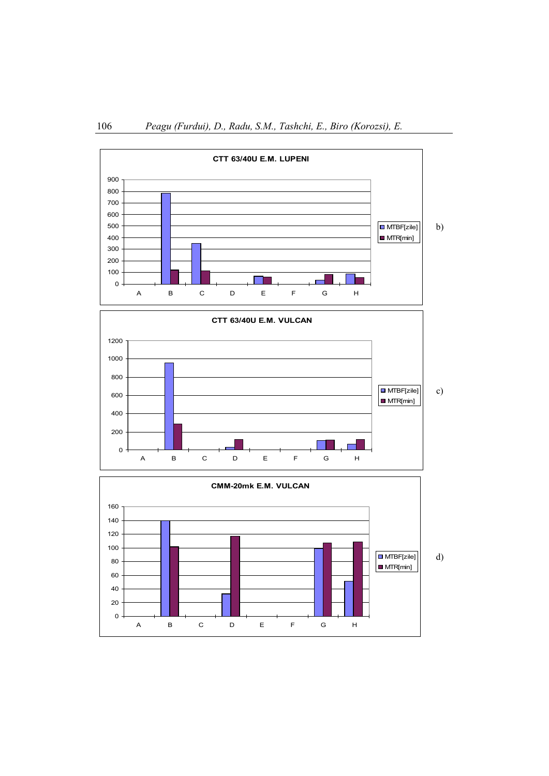

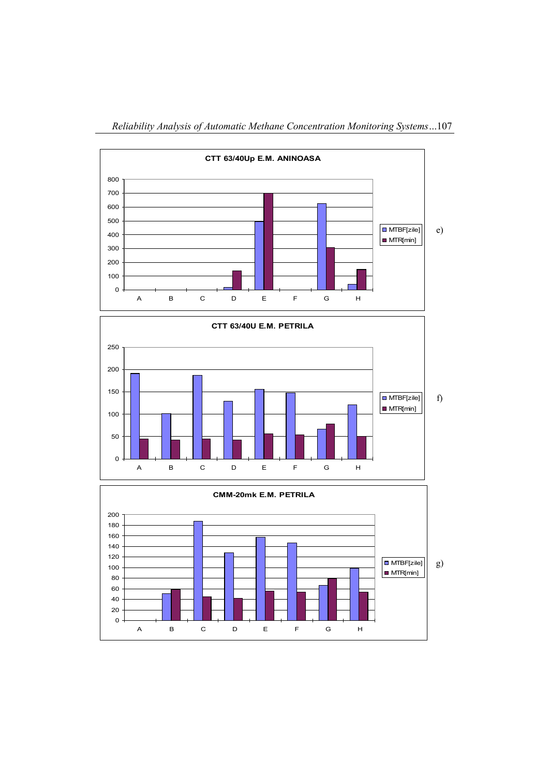

*Reliability Analysis of Automatic Methane Concentration Monitoring Systems…*107



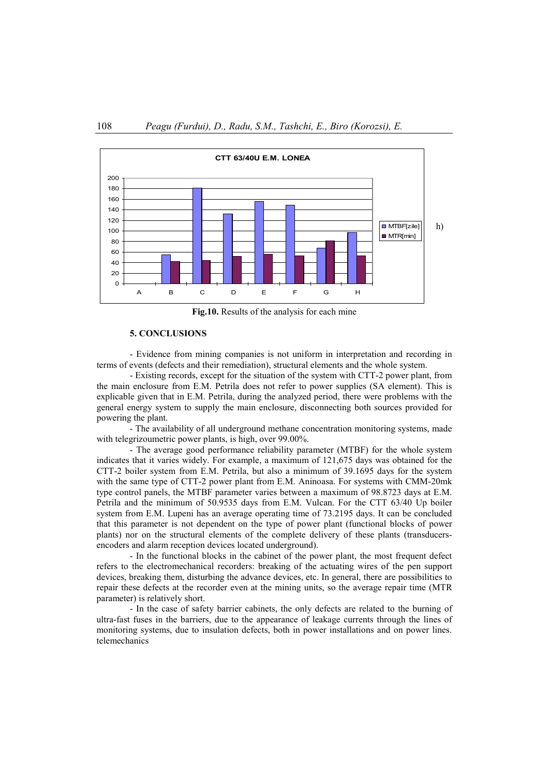

**Fig.10.** Results of the analysis for each mine

#### **5. CONCLUSIONS**

- Evidence from mining companies is not uniform in interpretation and recording in terms of events (defects and their remediation), structural elements and the whole system.

- Existing records, except for the situation of the system with CTT-2 power plant, from the main enclosure from E.M. Petrila does not refer to power supplies (SA element). This is explicable given that in E.M. Petrila, during the analyzed period, there were problems with the general energy system to supply the main enclosure, disconnecting both sources provided for powering the plant.

- The availability of all underground methane concentration monitoring systems, made with telegrizoumetric power plants, is high, over 99.00%.

- The average good performance reliability parameter (MTBF) for the whole system indicates that it varies widely. For example, a maximum of 121,675 days was obtained for the CTT-2 boiler system from E.M. Petrila, but also a minimum of 39.1695 days for the system with the same type of CTT-2 power plant from E.M. Aninoasa. For systems with CMM-20mk type control panels, the MTBF parameter varies between a maximum of 98.8723 days at E.M. Petrila and the minimum of 50.9535 days from E.M. Vulcan. For the CTT 63/40 Up boiler system from E.M. Lupeni has an average operating time of 73.2195 days. It can be concluded that this parameter is not dependent on the type of power plant (functional blocks of power plants) nor on the structural elements of the complete delivery of these plants (transducersencoders and alarm reception devices located underground).

- In the functional blocks in the cabinet of the power plant, the most frequent defect refers to the electromechanical recorders: breaking of the actuating wires of the pen support devices, breaking them, disturbing the advance devices, etc. In general, there are possibilities to repair these defects at the recorder even at the mining units, so the average repair time (MTR parameter) is relatively short.

- In the case of safety barrier cabinets, the only defects are related to the burning of ultra-fast fuses in the barriers, due to the appearance of leakage currents through the lines of monitoring systems, due to insulation defects, both in power installations and on power lines. telemechanics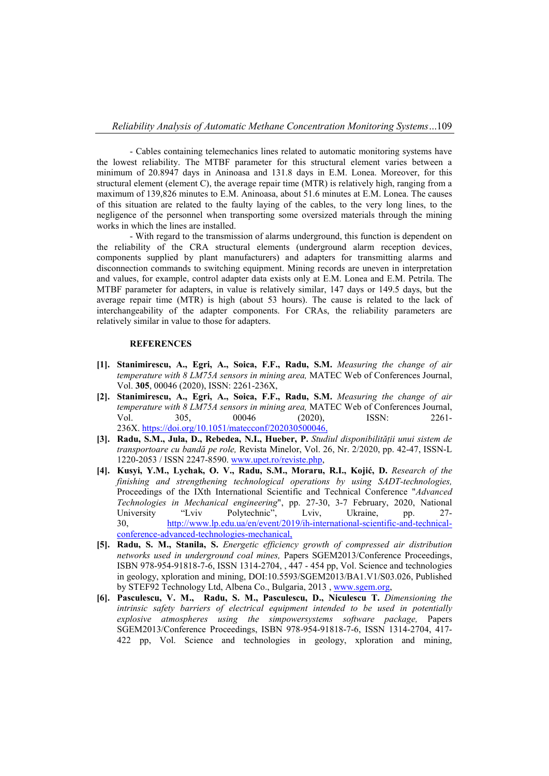- Cables containing telemechanics lines related to automatic monitoring systems have the lowest reliability. The MTBF parameter for this structural element varies between a minimum of 20.8947 days in Aninoasa and 131.8 days in E.M. Lonea. Moreover, for this structural element (element C), the average repair time (MTR) is relatively high, ranging from a maximum of 139,826 minutes to E.M. Aninoasa, about 51.6 minutes at E.M. Lonea. The causes of this situation are related to the faulty laying of the cables, to the very long lines, to the negligence of the personnel when transporting some oversized materials through the mining works in which the lines are installed.

- With regard to the transmission of alarms underground, this function is dependent on the reliability of the CRA structural elements (underground alarm reception devices, components supplied by plant manufacturers) and adapters for transmitting alarms and disconnection commands to switching equipment. Mining records are uneven in interpretation and values, for example, control adapter data exists only at E.M. Lonea and E.M. Petrila. The MTBF parameter for adapters, in value is relatively similar, 147 days or 149.5 days, but the average repair time (MTR) is high (about 53 hours). The cause is related to the lack of interchangeability of the adapter components. For CRAs, the reliability parameters are relatively similar in value to those for adapters.

#### **REFERENCES**

- **[1]. Stanimirescu, A., Egri, A., Soica, F.F., Radu, S.M.** *[Measuring the change of air](https://www.matec-conferences.org/articles/matecconf/abs/2020/01/matecconf_sesam20_00046/matecconf_sesam20_00046.html)  [temperature with 8 LM75A sensors in mining area,](https://www.matec-conferences.org/articles/matecconf/abs/2020/01/matecconf_sesam20_00046/matecconf_sesam20_00046.html)* MATEC Web of Conferences Journal, Vol. **305**, 00046 (2020), ISSN: 2261-236X,
- **[2]. Stanimirescu, A., Egri, A., Soica, F.F., Radu, S.M.** *[Measuring the change of air](https://www.matec-conferences.org/articles/matecconf/abs/2020/01/matecconf_sesam20_00046/matecconf_sesam20_00046.html)  [temperature with 8 LM75A sensors in mining area,](https://www.matec-conferences.org/articles/matecconf/abs/2020/01/matecconf_sesam20_00046/matecconf_sesam20_00046.html)* MATEC Web of Conferences Journal, Vol. 305, 00046 (2020), ISSN: 2261-236X. https://doi.org/10.1051/matecconf/202030500046,
- **[3]. Radu, S.M., Jula, D., Rebedea, N.I., Hueber, P.** *Studiul disponibilității unui sistem de transportoare cu bandă pe role,* Revista Minelor, Vol. 26, Nr. 2/2020, pp. 42-47, ISSN-L 1220-2053 / ISSN 2247-8590. [www.upet.ro/reviste.php,](http://www.upet.ro/reviste.php)
- **[4]. Kusyi, Y.M., Lychak, O. V., Radu, S.M., Moraru, R.I., Kojić, D.** *Research of the finishing and strengthening technological operations by using SADT-technologies,*  Proceedings of the IXth International Scientific and Technical Conference "*Advanced Technologies in Mechanical engineering*", pp. 27-30, 3-7 February, 2020, National University "Lviv Polytechnic", Lviv, Ukraine, pp. 27-30, [http://www.lp.edu.ua/en/event/2019/ih-international-scientific-and-technical](http://www.lp.edu.ua/en/event/2019/ih-international-scientific-and-technical-conference-advanced-technologies-mechanical)[conference-advanced-technologies-mechanical,](http://www.lp.edu.ua/en/event/2019/ih-international-scientific-and-technical-conference-advanced-technologies-mechanical)
- **[5]. Radu, S. M., Stanila, S.** *Energetic efficiency growth of compressed air distribution networks used in underground coal mines,* Papers SGEM2013/Conference Proceedings, ISBN 978-954-91818-7-6, ISSN 1314-2704, , 447 - 454 pp, Vol. Science and technologies in geology, xploration and mining, DOI:10.5593/SGEM2013/BA1.V1/S03.026, Published by STEF92 Technology Ltd, Albena Co., Bulgaria, 2013 , [www.sgem.org,](http://www.sgem.org/)
- **[6]. Pasculescu, V. M., Radu, S. M., Pasculescu, D., Niculescu T.** *Dimensioning the intrinsic safety barriers of electrical equipment intended to be used in potentially explosive atmospheres using the simpowersystems software package,* Papers SGEM2013/Conference Proceedings, ISBN 978-954-91818-7-6, ISSN 1314-2704, 417- 422 pp, Vol. Science and technologies in geology, xploration and mining,